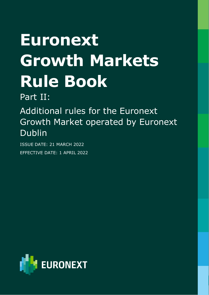# **Euronext Growth Markets Rule Book**

Part II:

Additional rules for the Euronext Growth Market operated by Euronext Dublin

ISSUE DATE: 21 MARCH 2022 EFFECTIVE DATE: 1 APRIL 2022

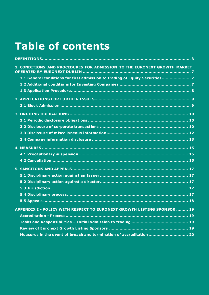# **Table of contents**

| 1. CONDITIONS AND PROCEDURES FOR ADMISSION TO THE EURONEXT GROWTH MARKET    |
|-----------------------------------------------------------------------------|
| 1.1 General conditions for first admission to trading of Equity Securities7 |
|                                                                             |
|                                                                             |
|                                                                             |
|                                                                             |
|                                                                             |
|                                                                             |
|                                                                             |
|                                                                             |
|                                                                             |
|                                                                             |
|                                                                             |
|                                                                             |
|                                                                             |
|                                                                             |
|                                                                             |
|                                                                             |
|                                                                             |
|                                                                             |
| APPENDIX I - POLICY WITH RESPECT TO EURONEXT GROWTH LISTING SPONSOR  19     |
|                                                                             |
|                                                                             |
|                                                                             |
| Measures in the event of breach and termination of accreditation  20        |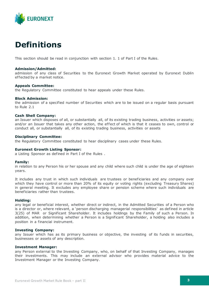

# <span id="page-2-0"></span>**Definitions**

This section should be read in conjunction with section 1. 1 of Part I of the Rules.

### **Admission/Admitted:**

admission of any class of Securities to the Euronext Growth Market operated by Euronext Dublin ef fected by a market notice.

### **Appeals Committee:**

the Regulatory Committee constituted to hear appeals under these Rules.

### **Block Admission:**

the admission of a specified number of Securities which are to be issued on a regular basis pursuant to Rule 2.1

### **Cash Shell Company:**

an Issuer which disposes of all, or substantially all, of its existing trading business, activities or assets; and/or an Issuer that takes any other action, the effect of which is that it ceases to own, control or conduct all, or substantially all, of its existing trading business, activities or assets

### **Disciplinary Committee:**

the Regulatory Committee constituted to hear disciplinary cases under these Rules.

### **Euronext Growth Listing Sponsor:**

a Listing Sponsor as defined in Part I of the Rules .

### **Family:**

in relation to any Person his or her spouse and any child where such child is under the age of eighteen years.

It includes any trust in which such individuals are trustees or beneficiaries and any company over which they have control or more than 20% of its equity or voting rights (excluding Treasury Shares) in general meeting. It excludes any employee share or pension scheme where such individuals are beneficiaries rather than trustees.

### **Holding:**

any legal or beneficial interest, whether direct or indirect, in the Admitted Securities of a Person who is a director or, where relevant, a 'person discharging managerial responsibilities' as defined in article 3(25) of MAR or Significant Shareholder. It includes holdings by the Family of such a Person. In addition, when determining whether a Person is a Significant Shareholder, a holding also includes a position in a financial instrument.

### **Investing Company:**

any Issuer which has as its primary business or objective, the investing of its funds in securities, businesses or assets of any description.

### **Investment Manager:**

any Person external to the Investing Company, who, on behalf of that Investing Company, manages their investments. This may include an external advisor who provides material advice to the Investment Manager or the Investing Company.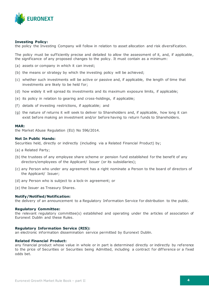

### **Investing Policy:**

the policy the Investing Company will follow in relation to asset allocation and risk diversification.

The policy must be sufficiently precise and detailed to allow the assessment of it, and, if applicable, the significance of any proposed changes to the policy. It must contain as a minimum:

- (a) assets or company in which it can invest;
- (b) the means or strategy by which the investing policy will be achieved;
- (c) whether such investments will be active or passive and, if applicable, the length of time that investments are likely to be held for;
- (d) how widely it will spread its investments and its maximum exposure limits, if applicable;
- (e) its policy in relation to gearing and cross-holdings, if applicable;
- (f) details of investing restrictions, if applicable; and
- (g) the nature of returns it will seek to deliver to Shareholders and, if applicable, how long it can exist before making an investment and/or before having to return funds to Shareholders.

#### **MAR:**

the Market Abuse Regulation (EU) No 596/2014.

#### **Not In Public Hands:**

Securities held, directly or indirectly (including via a Related Financial Product) by;

- (a) a Related Party;
- (b) the trustees of any employee share scheme or pension fund established for the benefit of any directors/employees of the Applicant/ Issuer (or its subsidiaries);
- (c) any Person who under any agreement has a right nominate a Person to the board of directors of the Applicant/ Issuer;
- (d) any Person who is subject to a lock-in agreement; or
- (e) the Issuer as Treasury Shares.

#### **Notify/Notified/Notification:**

the delivery of an announcement to a Regulatory Information Service for distribution to the public.

#### **Regulatory Committee:**

the relevant regulatory committee(s) established and operating under the articles of association of Euronext Dublin and these Rules.

#### **Regulatory Information Service (RIS):**

an electronic information dissemination service permitted by Euronext Dublin.

### **Related Financial Product:**

any financial product whose value in whole or in part is determined directly or indirectly by reference to the price of Securities or Securities being Admitted, including a contract for dif ference or a fixed odds bet.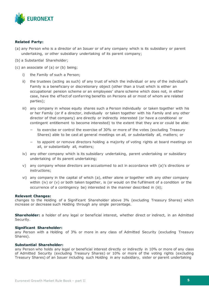

### **Related Party:**

- (a) any Person who is a director of an Issuer or of any company which is its subsidiary or parent undertaking, or other subsidiary undertaking of its parent company;
- (b) a Substantial Shareholder;
- (c) an associate of (a) or (b) being;
	- i) the Family of such a Person;
	- ii) the trustees (acting as such) of any trust of which the individual or any of the individual's Family is a beneficiary or discretionary object (other than a trust which is either an occupational pension scheme or an employees' share scheme which does not, in either case, have the effect of conferring benefits on Persons all or most of whom are related parties);
	- iii) any company in whose equity shares such a Person individually or taken together with his or her Family (or if a director, individually or taken together with his Family and any other director of that company) are directly or indirectly interested (or have a conditional or contingent entitlement to become interested) to the extent that they are or could be able:
		- − to exercise or control the exercise of 30% or more of the votes (excluding Treasury Shares) able to be cast at general meetings on all, or substantially all, matters; or
		- − to appoint or remove directors holding a majority of voting rights at board meetings on all, or substantially all, matters;
	- iv) any other company which is its subsidiary undertaking, parent undertaking or subsidiary undertaking of its parent undertaking;
	- v) any company whose directors are accustomed to act in accordance with (a)'s directions or instructions;
	- vi) any company in the capital of which (a), either alone or together with any other company within (iv) or (v) or both taken together, is (or would on the fulfilment of a condition or the occurrence of a contingency be) interested in the manner described in (iii);

### **Relevant Changes:**

changes to the Holding of a Significant Shareholder above 3% (excluding Treasury Shares) which increase or decrease such Holding through any single percentage.

**Shareholder:** a holder of any legal or beneficial interest, whether direct or indirect, in an Admitted Security.

#### **Significant Shareholder:**

any Person with a Holding of 3% or more in any class of Admitted Security (excluding Treasury Shares).

### **Substantial Shareholder:**

any Person who holds any legal or beneficial interest directly or indirectly in 10% or more of any class of Admitted Security (excluding Treasury Shares) or 10% or more of the voting rights (excluding Treasury Shares) of an Issuer including such Holding in any subsidiary, sister or parent undertaking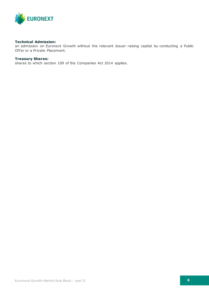

### **Technical Admission:**

an admission on Euronext Growth without the relevant Issuer raising capital by conducting a Public Offer or a Private Placement.

### **Treasury Shares:**

shares to which section 109 of the Companies Act 2014 applies.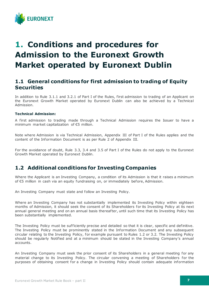

# <span id="page-6-0"></span>**1. Conditions and procedures for Admission to the Euronext Growth Market operated by Euronext Dublin**

# <span id="page-6-1"></span>**1.1 General conditions for first admission to trading of Equity Securities**

In addition to Rule 3.1.1 and 3.2.1 of Part I of the Rules, first admission to trading of an Applicant on the Euronext Growth Market operated by Euronext Dublin can also be achieved by a Technical Admission.

### **Technical Admission:**

A first admission to trading made through a Technical Admission requires the Issuer to have a minimum market capitalization of €5 million.

Note where Admission is via Technical Admission, Appendix III of Part I of the Rules applies and the content of the Information Document is as per Rule 2 of Appendix III.

For the avoidance of doubt, Rule 3.3, 3.4 and 3.5 of Part I of the Rules do not apply to the Euronext Growth Market operated by Euronext Dublin.

# <span id="page-6-2"></span>**1.2 Additional conditions for Investing Companies**

Where the Applicant is an Investing Company, a condition of its Admission is that it raises a minimum of €5 million in cash via an equity fundraising on, or immediately before, Admission.

An Investing Company must state and follow an Investing Policy.

Where an Investing Company has not substantially implemented its Investing Policy within eighteen months of Admission, it should seek the consent of its Shareholders for its Investing Policy at its next annual general meeting and on an annual basis thereafter, until such time that its Investing Policy has been substantially implemented.

The Investing Policy must be sufficiently precise and detailed so that it is clear, specific and definitive. The Investing Policy must be prominently stated in the Information Document and any subsequent circular relating to the Investing Policy, for example pursuant to Rules 1.2 or 3.2. The Investing Policy should be regularly Notified and at a minimum should be stated in the Investing Company's annual accounts.

An Investing Company must seek the prior consent of its Shareholders in a general meeting for any material change to its Investing Policy. The circular convening a meeting of Shareholders for the purposes of obtaining consent for a change in Investing Policy should contain adequate information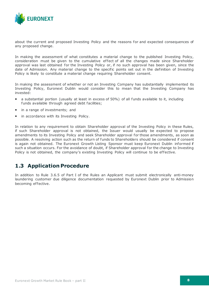

about the current and proposed Investing Policy and the reasons for and expected consequences of any proposed change.

In making the assessment of what constitutes a material change to the published Investing Policy, consideration must be given to the cumulative ef fect of all the changes made since Shareholder approval was last obtained for the Investing Policy or, if no such approval has been given, since the date of Admission. Any material change to the specific points set out in the definition of Investing Policy is likely to constitute a material change requiring Shareholder consent.

In making the assessment of whether or not an Investing Company has substantially implemented its Investing Policy, Euronext Dublin would consider this to mean that the Investing Company has invested:

- a substantial portion (usually at least in excess of 50%) of all funds available to it, including funds available through agreed debt facilities;
- in a range of investments; and
- **n** in accordance with its Investing Policy.

In relation to any requirement to obtain Shareholder approval of the Investing Policy in these Rules, if such Shareholder approval is not obtained, the Issuer would usually be expected to propose amendments to its Investing Policy and seek Shareholder approval for those amendments, as soon as possible. A resolving action such as the return of funds to Shareholders should be considered if consent is again not obtained. The Euronext Growth Listing Sponsor must keep Euronext Dublin informed if such a situation occurs. For the avoidance of doubt, if Shareholder approval for the change to Investing Policy is not obtained, the company's existing Investing Policy will continue to be effective.

# <span id="page-7-0"></span>**1.3 Application Procedure**

In addition to Rule 3.6.5 of Part I of the Rules an Applicant must submit electronically anti-money laundering customer due diligence documentation requested by Euronext Dublin prior to Admission becoming effective.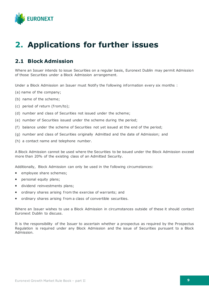

# <span id="page-8-0"></span>**2. Applications for further issues**

# <span id="page-8-1"></span>**2.1 Block Admission**

Where an Issuer intends to issue Securities on a regular basis, Euronext Dublin may permit Admission of those Securities under a Block Admission arrangement.

Under a Block Admission an Issuer must Notify the following information every six months :

- (a) name of the company;
- (b) name of the scheme;
- (c) period of return (from/to);
- (d) number and class of Securities not issued under the scheme;
- (e) number of Securities issued under the scheme during the period;
- (f) balance under the scheme of Securities not yet issued at the end of the period;
- (g) number and class of Securities originally Admitted and the date of Admission; and
- (h) a contact name and telephone number.

A Block Admission cannot be used where the Securities to be issued under the Block Admission exceed more than 20% of the existing class of an Admitted Security.

Additionally, Block Admission can only be used in the following circumstances:

- **EXECUTE:** employee share schemes;
- personal equity plans;
- **dividend reinvestments plans;**
- **•** ordinary shares arising from the exercise of warrants; and
- ordinary shares arising from a class of convertible securities.

Where an Issuer wishes to use a Block Admission in circumstances outside of these it should contact Euronext Dublin to discuss.

It is the responsibility of the Issuer to ascertain whether a prospectus as required by the Prospectus Regulation is required under any Block Admission and the issue of Securities pursuant to a Block Admission.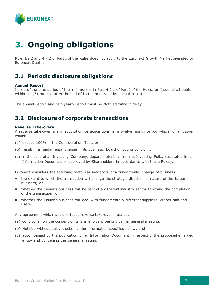

# <span id="page-9-0"></span>**3. Ongoing obligations**

Rule 4.2.2 and 4.7.2 of Part I of the Rules does not apply to the Euronext Growth Market operated by Euronext Dublin.

# <span id="page-9-1"></span>**3.1 Periodic disclosure obligations**

### **Annual Report**

In lieu of the time period of four (4) months in Rule 4.2.1 of Part I of the Rules, an Issuer shall publish within six (6) months after the end of its financial year its annual report.

The annual report and half-yearly report must be Notified without delay.

# <span id="page-9-2"></span>**3.2 Disclosure of corporate transactions**

### **Reverse Take-overs**

A reverse take-over is any acquisition or acquisitions in a twelve month period which for an Issuer would:

- (a) exceed 100% in the Consideration Test; or
- (b) result in a fundamental change in its business, board or voting control; or
- (c) in the case of an Investing Company, depart materially f rom its Investing Policy (as stated in its Information Document or approved by Shareholders in accordance with these Rules).

Euronext considers the following factors as indicators of a fundamental change of business:

- the extent to which the transaction will change the strategic direction or nature of the Issuer's business; or
- whether the Issuer's business will be part of a different industry sector following the completion of the transaction; or
- **•** whether the Issuer's business will deal with fundamentally different suppliers, clients and end users.

Any agreement which would effect a reverse take-over must be:

- (a) conditional on the consent of its Shareholders being given in general meeting;
- (b) Notified without delay disclosing the information specified below; and
- (c) accompanied by the publication of an Information Document in respect of the proposed enlarged entity and convening the general meeting.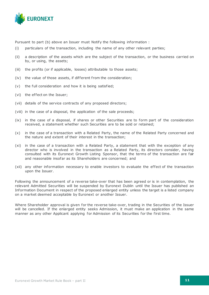

Pursuant to part (b) above an Issuer must Notify the following information :

- (i) particulars of the transaction, including the name of any other relevant parties;
- (ii) a description of the assets which are the subject of the transaction, or the business carried on by, or using, the assets;
- (iii) the profits (or if applicable, losses) attributable to those assets;
- (iv) the value of those assets, if different from the consideration;
- (v) the full consideration and how it is being satisfied;
- (vi) the effect on the Issuer;
- (vii) details of the service contracts of any proposed directors;
- (viii) in the case of a disposal, the application of the sale proceeds;
- (ix) in the case of a disposal, if shares or other Securities are to form part of the consideration received, a statement whether such Securities are to be sold or retained;
- (x) in the case of a transaction with a Related Party, the name of the Related Party concerned and the nature and extent of their interest in the transaction;
- (xi) in the case of a transaction with a Related Party, a statement that with the exception of any director who is involved in the transaction as a Related Party, its directors consider, having consulted with its Euronext Growth Listing Sponsor, that the terms of the transaction are fair and reasonable insofar as its Shareholders are concerned; and
- (xii) any other information necessary to enable investors to evaluate the effect of the transaction upon the Issuer.

Following the announcement of a reverse take-over that has been agreed or is in contemplation, the relevant Admitted Securities will be suspended by Euronext Dublin until the Issuer has published an Information Document in respect of the proposed enlarged entity unless the target is a listed company on a market deemed acceptable by Euronext or another Issuer.

Where Shareholder approval is given for the reverse take-over, trading in the Securities of the Issuer will be cancelled. If the enlarged entity seeks Admission, it must make an application in the same manner as any other Applicant applying for Admission of its Securities for the first time.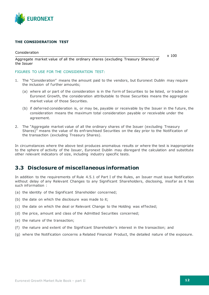

### **THE CONSIDERATION TEST**

Consideration

x 100

Aggregate market value of all the ordinary shares (excluding Treasury Shares) of the Issuer

### FIGURES TO USE FOR THE CONSIDERATION TEST:

- 1. The "Consideration" means the amount paid to the vendors, but Euronext Dublin may require the inclusion of further amounts;
	- (a) where all or part of the consideration is in the form of Securities to be listed, or traded on Euronext Growth, the consideration attributable to those Securities means the aggregate market value of those Securities.
	- (b) if deferred consideration is, or may be, payable or receivable by the Issuer in the future, the consideration means the maximum total consideration payable or receivable under the agreement.
- 2. The "Aggregate market value of all the ordinary shares of the Issuer (excluding Treasury Shares)" means the value of its enfranchised Securities on the day prior to the Notification of the transaction (excluding Treasury Shares).

In circumstances where the above test produces anomalous results or where the test is inappropriate to the sphere of activity of the Issuer, Euronext Dublin may disregard the calculation and substitute other relevant indicators of size, including industry specific tests.

### <span id="page-11-0"></span>**3.3 Disclosure of miscellaneous information**

In addition to the requirements of Rule 4.5.1 of Part I of the Rules, an Issuer must issue Notification without delay of any Relevant Changes to any Significant Shareholders, disclosing, insofar as it has such information :

- (a) the identity of the Significant Shareholder concerned;
- (b) the date on which the disclosure was made to it;
- (c) the date on which the deal or Relevant Change to the Holding was effected;
- (d) the price, amount and class of the Admitted Securities concerned;
- (e) the nature of the transaction;
- (f) the nature and extent of the Significant Shareholder's interest in the transaction; and
- (g) where the Notification concerns a Related Financial Product, the detailed nature of the exposure.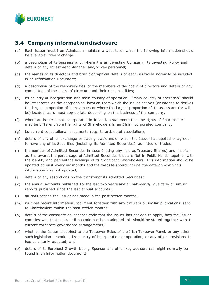

# <span id="page-12-0"></span>**3.4 Company information disclosure**

- (a) Each Issuer must from Admission maintain a website on which the following information should be available, free of charge:
- (b) a description of its business and, where it is an Investing Company, its Investing Policy and details of any Investment Manager and/or key personnel;
- (c) the names of its directors and brief biographical details of each, as would normally be included in an Information Document;
- (d) a description of the responsibilities of the members of the board of directors and details of any committees of the board of directors and their responsibilities;
- (e) its country of incorporation and main country of operation; "main country of operation" should be interpreted as the geographical location from which the issuer derives (or intends to derive) the largest proportion of its revenues or where the largest proportion of its assets are (or will be) located, as is most appropriate depending on the business of the company.
- (f) where an Issuer is not incorporated in Ireland, a statement that the rights of Shareholders may be different from the rights of Shareholders in an Irish incorporated company;
- (g) its current constitutional documents (e.g. its articles of association);
- (h) details of any other exchange or trading platforms on which the Issuer has applied or agreed to have any of its Securities (including its Admitted Securities) admitted or traded;
- (i) the number of Admitted Securities in issue (noting any held as Treasury Shares) and, insofar as it is aware, the percentage of Admitted Securities that are Not In Public Hands together with the identity and percentage holdings of its Significant Shareholders. This information should be updated at least every six months and the website should include the date on which this information was last updated;
- (j) details of any restrictions on the transfer of its Admitted Securities;
- (k) the annual accounts published for the last two years and all half-yearly, quarterly or similar reports published since the last annual accounts ;
- (l) all Notifications the Issuer has made in the past twelve months;
- (m) its most recent Information Document together with any circulars or similar publications sent to Shareholders within the past twelve months;
- (n) details of the corporate governance code that the Issuer has decided to apply, how the Issuer complies with that code, or if no code has been adopted this should be stated together with its current corporate governance arrangements;
- (o) whether the Issuer is subject to the Takeover Rules of the Irish Takeover Panel, or any other such legislation or code in its country of incorporation or operation, or any other provisions it has voluntarily adopted; and
- (p) details of its Euronext Growth Listing Sponsor and other key advisors (as might normally be found in an information document).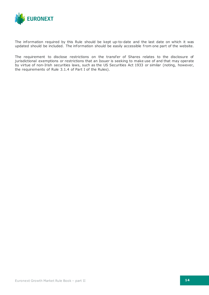

The information required by this Rule should be kept up-to-date and the last date on which it was updated should be included. The information should be easily accessible from one part of the website.

The requirement to disclose restrictions on the transfer of Shares relates to the disclosure of jurisdictional exemptions or restrictions that an Issuer is seeking to make use of and that may operate by virtue of non-Irish securities laws, such as the US Securities Act 1933 or similar (noting, however, the requirements of Rule 3.1.4 of Part I of the Rules).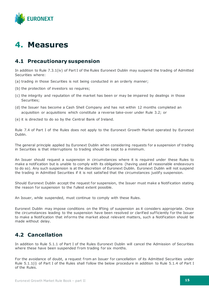

# <span id="page-14-0"></span>**4. Measures**

### <span id="page-14-1"></span>**4.1 Precautionary suspension**

In addition to Rule 7.3.1(iv) of Part I of the Rules Euronext Dublin may suspend the trading of Admitted Securities where:

- (a) trading in those Securities is not being conducted in an orderly manner;
- (b) the protection of investors so requires;
- (c) the integrity and reputation of the market has been or may be impaired by dealings in those Securities;
- (d) the Issuer has become a Cash Shell Company and has not within 12 months completed an acquisition or acquisitions which constitute a reverse take-over under Rule 3.2; or
- (e) it is directed to do so by the Central Bank of Ireland.

Rule 7.4 of Part I of the Rules does not apply to the Euronext Growth Market operated by Euronext Dublin.

The general principle applied by Euronext Dublin when considering requests for a suspension of trading in Securities is that interruptions to trading should be kept to a minimum.

An Issuer should request a suspension in circumstances where it is required under these Rules to make a notification but is unable to comply with its obligations (having used all reasonable endeavours to do so). Any such suspension is at the discretion of Euronext Dublin. Euronext Dublin will not suspend the trading in Admitted Securities if it is not satisfied that the circumstances justify suspension.

Should Euronext Dublin accept the request for suspension, the Issuer must make a Notification stating the reason for suspension to the fullest extent possible.

An Issuer, while suspended, must continue to comply with these Rules.

Euronext Dublin may impose conditions on the lifting of suspension as it considers appropriate. Once the circumstances leading to the suspension have been resolved or clarified suf ficiently for the Issuer to make a Notification that informs the market about relevant matters, such a Notification should be made without delay.

# <span id="page-14-2"></span>**4.2 Cancellation**

In addition to Rule 5.1.1 of Part I of the Rules Euronext Dublin will cancel the Admission of Securities where these have been suspended from trading for six months.

For the avoidance of doubt, a request from an Issuer for cancellation of its Admitted Securities under Rule 5.1.1(i) of Part I of the Rules shall follow the below procedure in addition to Rule 5.1.4 of Part I of the Rules.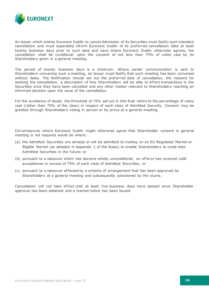

An Issuer which wishes Euronext Dublin to cancel Admission of its Securities must Notify such intended cancellation and must separately inform Euronext Dublin of its preferred cancellation date at least twenty business days prior to such date and save where Euronext Dublin otherwise agrees, the cancellation shall be conditional upon the consent of not less than 75% of votes cast by its Shareholders given in a general meeting.

The period of twenty business days is a minimum. Where earlier communication is sent to Shareholders convening such a meeting, an Issuer must Notify that such meeting has been convened without delay. The Notification should set out the preferred date of cancellation, the reasons for seeking the cancellation, a description of how Shareholders will be able to effect transactions in the Securities once they have been cancelled and any other matter relevant to Shareholders reaching an informed decision upon the issue of the cancellation.

For the avoidance of doubt, the threshold of 75% set out in this Rule refers to the percentage of votes cast (rather than 75% of the class) in respect of each class of Admitted Security. Consent may be granted through Shareholders voting in person or by proxy at a general meeting.

Circumstances where Euronext Dublin might otherwise agree that Shareholder consent in general meeting is not required would be where:

- (a) the Admitted Securities are already or will be admitted to trading on an EU Regulated Market or Eligible Market (as detailed in Appendix 1 of the Rules) to enable Shareholders to trade their Admitted Securities in the future; or
- (b) pursuant to a takeover which has become wholly unconditional, an of feror has received valid acceptances in excess of 75% of each class of Admitted Securities; or
- (c) pursuant to a takeover ef fected by a scheme of arrangement that has been approved by Shareholders at a general meeting and subsequently sanctioned by the courts.

Cancellation will not take effect until at least five business days have passed since Shareholder approval has been obtained and a market notice has been issued.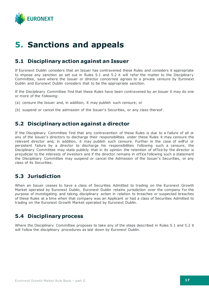

# <span id="page-16-0"></span>**5. Sanctions and appeals**

# <span id="page-16-1"></span>**5.1 Disciplinary action against an Issuer**

If Euronext Dublin considers that an Issuer has contravened these Rules and considers it appropriate to impose any sanction as set out in Rules 5.1 and 5.2 it will refer the matter to the Disciplinary Committee, save where the Issuer or director concerned agrees to a private censure by Euronext Dublin and Euronext Dublin considers that to be the appropriate sanction.

If the Disciplinary Committee find that these Rules have been contravened by an Issuer it may do one or more of the following:

- (a) censure the Issuer and, in addition, it may publish such censure; or
- <span id="page-16-2"></span>(b) suspend or cancel the admission of the Issuer's Securities, or any class thereof .

# **5.2 Disciplinary action against a director**

If the Disciplinary Committee find that any contravention of these Rules is due to a failure of all or any of the Issuer's directors to discharge their responsibilities under these Rules it may censure the relevant director and, in addition, it may publish such censure. Further in the case of willful or persistent failure by a director to discharge his responsibilities following such a censure, the Disciplinary Committee may state publicly that in its opinion the retention of of fice by the director is prejudicial to the interests of investors and if the director remains in of fice following such a statement the Disciplinary Committee may suspend or cancel the Admission of the Issuer's Securities, or any class of its Securities.

# <span id="page-16-3"></span>**5.3 Jurisdiction**

When an Issuer ceases to have a class of Securities Admitted to trading on the Euronext Growth Market operated by Euronext Dublin, Euronext Dublin retains jurisdiction over the company for the purpose of investigating and taking disciplinary action in relation to breaches or suspected breaches of these Rules at a time when that company was an Applicant or had a class of Securities Admitted to trading on the Euronext Growth Market operated by Euronext Dublin.

# <span id="page-16-4"></span>**5.4 Disciplinary process**

Where the Disciplinary Committee proposes to take any of the steps described in Rules 5.1 and 5.2 it will follow the disciplinary procedures as laid down by Euronext Dublin.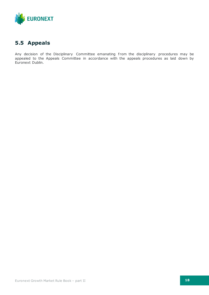

# <span id="page-17-0"></span>**5.5 Appeals**

Any decision of the Disciplinary Committee emanating from the disciplinary procedures may be appealed to the Appeals Committee in accordance with the appeals procedures as laid down by Euronext Dublin.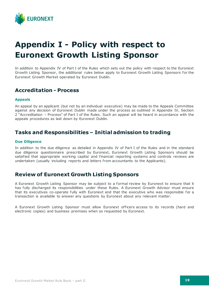

# <span id="page-18-0"></span>**Appendix I - Policy with respect to Euronext Growth Listing Sponsor**

In addition to Appendix IV of Part I of the Rules which sets out the policy with respect to the Euronext Growth Listing Sponsor, the additional rules below apply to Euronext Growth Listing Sponsors for the Euronext Growth Market operated by Euronext Dublin.

### <span id="page-18-1"></span>**Accreditation - Process**

### **Appeals**

An appeal by an applicant (but not by an individual executive) may be made to the Appeals Committee against any decision of Euronext Dublin made under the process as outlined in Appendix IV, Section 2 "Accreditation – Process" of Part I of the Rules. Such an appeal will be heard in accordance with the appeals procedures as laid down by Euronext Dublin.

# <span id="page-18-2"></span>**Tasks and Responsibilities – Initial admission to trading**

### **Due Diligence**

In addition to the due diligence as detailed in Appendix IV of Part I of the Rules and in the standard due diligence questionnaire prescribed by Euronext, Euronext Growth Listing Sponsors should be satisfied that appropriate working capital and financial reporting systems and controls reviews are undertaken (usually including reports and letters from accountants to the Applicants).

### <span id="page-18-3"></span>**Review of Euronext Growth Listing Sponsors**

A Euronext Growth Listing Sponsor may be subject to a formal review by Euronext to ensure that it has fully discharged its responsibilities under these Rules. A Euronext Growth Advisor must ensure that its executives co-operate fully with Euronext and that the executive who was responsible for a transaction is available to answer any questions by Euronext about any relevant matter.

A Euronext Growth Listing Sponsor must allow Euronext of ficers access to its records (hard and electronic copies) and business premises when so requested by Euronext.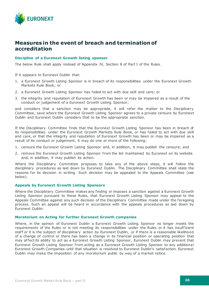

### <span id="page-19-0"></span>**Measures in the event of breach and termination of accreditation**

### **Discipline of a Euronext Growth listing sponsor**

The below Rule shall apply instead of Appendix IV, Section 8 of Part I of the Rules.

If it appears to Euronext Dublin that:

- 1. a Euronext Growth Listing Sponsor is in breach of its responsibilities under the Euronext Growth Markets Rule Book; or
- 2. a Euronext Growth Listing Sponsor has failed to act with due skill and care; or
- 3. the integrity and reputation of Euronext Growth has been or may be impaired as a result of the conduct or judgement of a Euronext Growth Listing Sponsor;

and considers that a sanction may be appropriate, it will refer the matter to the Disciplinary Committee, save where the Euronext Growth Listing Sponsor agrees to a private censure by Euronext Dublin and Euronext Dublin considers that to be the appropriate sanction.

If the Disciplinary Committee finds that the Euronext Growth Listing Sponsor has been in breach of its responsibilities under the Euronext Growth Markets Rule Book, or has failed to act with due skill and care, or that the integrity and reputation of Euronext Growth has been or may be impaired as a result of its conduct or judgement, it may do one or more of the following:

- 1. censure the Euronext Growth Listing Sponsor and, in addition, it may publish the censure; and
- 2. remove the Euronext Growth Listing Sponsor from the list maintained by Euronext on its website and, in addition, it may publish its action.

Where the Disciplinary Committee proposes to take any of the above steps, it will follow the disciplinary procedures as laid down by Euronext Dublin. The Disciplinary Committee shall state the reasons for its decision in writing. Such decision may be appealed to the Appeals Committee (see below).

### **Appeals by Euronext Growth Listing Sponsors**

Where the Disciplinary Committee makes any finding or imposes a sanction against a Euronext Growth Listing Sponsor pursuant to these Rules, that Euronext Growth Listing Sponsor may appeal to the Appeals Committee against any such decision of the Disciplinary Committee made under the foregoing process. Such an appeal will be heard in accordance with the appeals procedures as laid down by Euronext Dublin.

### **Moratorium on Acting for further Euronext Growth companies**

Where, in the opinion of Euronext Dublin a Euronext Growth Listing Sponsor no longer meets the requirements of the Rules or is not meeting its responsibilities under the Rules or it has insufficient staff or it is the subject of disciplinary action by Euronext Dublin, or if there is a reasonable likelihood of a change of control or there has been a change in its financial position or operating position that may af fect its ability to act as a Euronext Growth Listing Sponsor, Euronext Dublin may prevent that Euronext Growth Listing Sponsor from acting as a Euronext Growth Listing Sponsor to any additional Euronext Growth Companies until that situation is resolved to Euronext Dublin's satisfaction. Euronext Dublin may make the imposition of any moratorium public by way of a market notice.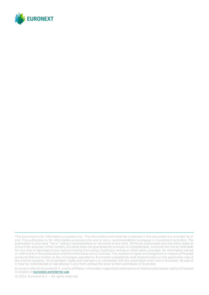

Euronext refers to Euronext N.V. and its affiliates. Information regarding trademarks and intellectual property rights of Euronext is located at **euronext.com/terms-use**.

© 2022, Euronext N.V. - All rights reserved.

This document is for information purposes only. The information and materials contained in this document are provided 'as is' and This publication is for information purposes only and is not a recommendation to engage in investment activities. This publication is provided "as is" without representation or warranty of any kind. Whilst all reasonable care has been taken to ensure the accuracy of the content, Euronext does not guarantee its accuracy or completeness. Euronext will not be held liable for any loss or damages of any nature ensuing from using, trusting or acting on information provided. No information set out or referred to in this publication shall form the basis of any contract. The creation of rights and obligations in respect of financial products that are traded on the exchanges operated by Euronext's subsidiaries shall depend solely on the applicable rules of the market operator. All proprietary rights and interest in or connected with this publication shall vest in Euronext. No part of it may be redistributed or reproduced in any form without the prior written permission of Euronext.